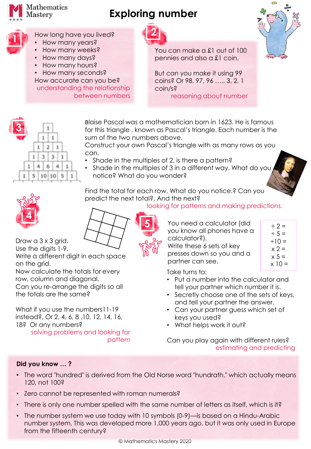

## **Exploring number**



## How long have you lived?

- How many years?
- How many weeks? • How many days?
- How many hours?
- How many seconds?

How accurate can you be? understanding the relationship between numbers



You can make a £1 out of 100 pennies and also a £1 coin.

But can you make it using 99 coins? Or 98, 97, 96 ….. 3, 2, 1 coin/s? reasoning about number



**3**  $\mathbb{R}$  $\mathbbm{3}^ \mathcal{X}$ 41 6.  $\mathcal{A}_i$ 10 10 5 5.

Blaise Pascal was a mathematician born in 1623. He is famous for this triangle , known as Pascal's triangle. Each number is the sum of the two numbers above.

Construct your own Pascal's triangle with as many rows as you can.

- Shade in the multiples of 2. is there a pattern?
- Shade in the multiples of 3 in a different way. What do you notice? What do you wonder?

Find the total for each row. What do you notice.? Can you predict the next total?. And the next?



looking for patterns and making predictions.



Draw a 3 x 3 grid. Use the digits 1-9.

Write a different digit in each space on the grid.

Now calculate the totals for every row, column and diagonal. Can you re-arrange the digits so all the totals are the same?

What if you use the numbers11-19 instead?, Or 2, 4, 6, 8 ,10, 12, 14, 16, 18? Or any numbers? solving problems and looking for

pattern

**5**  $\bullet$  You need a calculator (did  $\qquad \div 2 =$ you know all phones have a calculator?).

Write these 6 sets of key presses down so you and a partner can see.

 $\div$  5 =  $\div$ 10 =  $x 2 =$  $x 5 =$  $x 10 =$ 

Take turns to:

- Put a number into the calculator and tell your partner which number it is.
- Secretly choose one of the sets of keys, and tell your partner the answer.
- Can your partner guess which set of keys you used?
- What helps work it out?

Can you play again with different rules? estimating and predicting

## **Did you know … ?**

- The word "hundred" is derived from the Old Norse word "hundrath," which actually means 120, not 100?
- Zero cannot be represented with roman numerals?
- There is only one number spelled with the same number of letters as itself, which is it?
- The number system we use today with 10 symbols (0-9)—is based on a Hindu-Arabic number system. This was developed more 1,000 years ago, but it was only used in Europe from the fifteenth century?